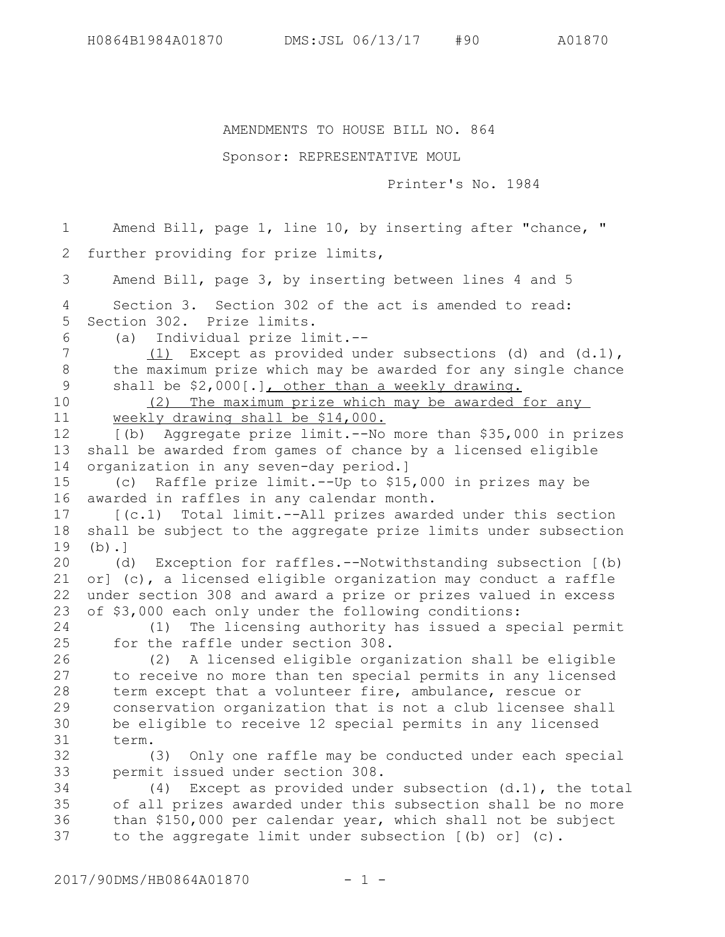## AMENDMENTS TO HOUSE BILL NO. 864

## Sponsor: REPRESENTATIVE MOUL

Printer's No. 1984

Amend Bill, page 1, line 10, by inserting after "chance, " further providing for prize limits, Amend Bill, page 3, by inserting between lines 4 and 5 Section 3. Section 302 of the act is amended to read: Section 302. Prize limits. (a) Individual prize limit.-- (1) Except as provided under subsections (d) and (d.1), the maximum prize which may be awarded for any single chance shall be \$2,000[.], other than a weekly drawing. (2) The maximum prize which may be awarded for any weekly drawing shall be \$14,000. [(b) Aggregate prize limit.--No more than \$35,000 in prizes shall be awarded from games of chance by a licensed eligible organization in any seven-day period.] (c) Raffle prize limit.--Up to \$15,000 in prizes may be awarded in raffles in any calendar month. [(c.1) Total limit.--All prizes awarded under this section shall be subject to the aggregate prize limits under subsection  $(b)$ .] (d) Exception for raffles.--Notwithstanding subsection [(b) or] (c), a licensed eligible organization may conduct a raffle under section 308 and award a prize or prizes valued in excess of \$3,000 each only under the following conditions: (1) The licensing authority has issued a special permit for the raffle under section 308. (2) A licensed eligible organization shall be eligible to receive no more than ten special permits in any licensed term except that a volunteer fire, ambulance, rescue or conservation organization that is not a club licensee shall be eligible to receive 12 special permits in any licensed term. (3) Only one raffle may be conducted under each special permit issued under section 308. (4) Except as provided under subsection (d.1), the total of all prizes awarded under this subsection shall be no more than \$150,000 per calendar year, which shall not be subject to the aggregate limit under subsection [(b) or] (c). 1 2 3 4 5 6 7 8 9 10 11 12 13 14 15 16 17 18 19 20 21 22 23 24 25 26 27 28 29 30 31 32 33 34 35 36 37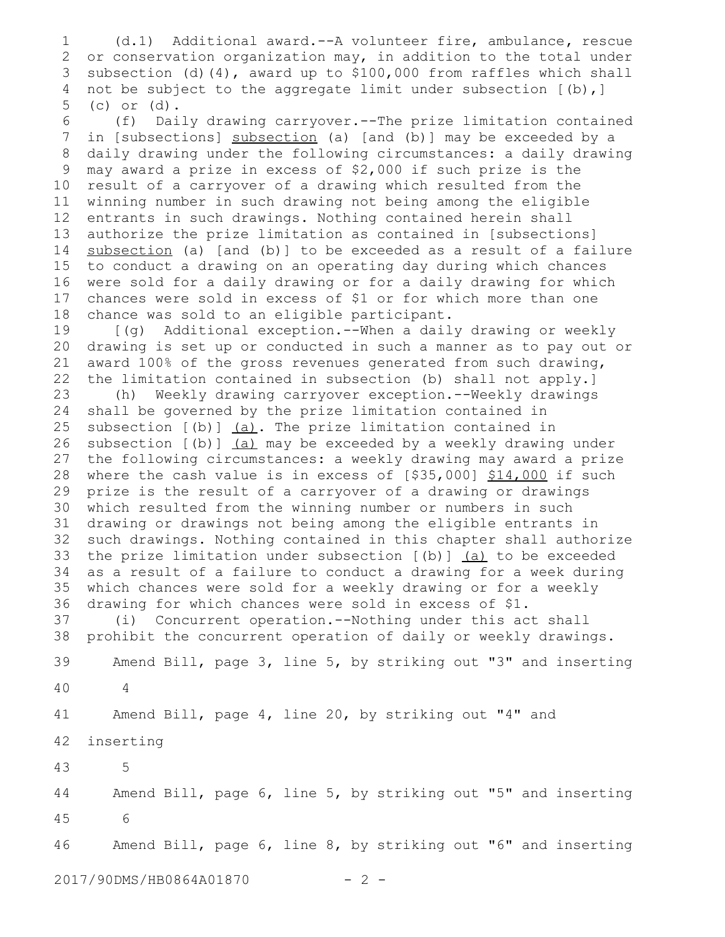(d.1) Additional award.--A volunteer fire, ambulance**,** rescue or conservation organization may, in addition to the total under subsection (d)(4), award up to \$100,000 from raffles which shall not be subject to the aggregate limit under subsection [(b),] (c) or (d). 1 2 3 4 5

(f) Daily drawing carryover.--The prize limitation contained in [subsections] subsection (a) [and (b)] may be exceeded by a daily drawing under the following circumstances: a daily drawing may award a prize in excess of \$2,000 if such prize is the result of a carryover of a drawing which resulted from the winning number in such drawing not being among the eligible entrants in such drawings. Nothing contained herein shall authorize the prize limitation as contained in [subsections] subsection (a) [and (b)] to be exceeded as a result of a failure to conduct a drawing on an operating day during which chances were sold for a daily drawing or for a daily drawing for which chances were sold in excess of \$1 or for which more than one chance was sold to an eligible participant. 6 7 8 9 10 11 12 13 14 15 16 17 18

[(g) Additional exception.--When a daily drawing or weekly drawing is set up or conducted in such a manner as to pay out or award 100% of the gross revenues generated from such drawing, the limitation contained in subsection (b) shall not apply.] 19 20 21 22

(h) Weekly drawing carryover exception.--Weekly drawings shall be governed by the prize limitation contained in subsection [(b)] (a). The prize limitation contained in subsection [(b)] (a) may be exceeded by a weekly drawing under the following circumstances: a weekly drawing may award a prize where the cash value is in excess of [\$35,000] \$14,000 if such prize is the result of a carryover of a drawing or drawings which resulted from the winning number or numbers in such drawing or drawings not being among the eligible entrants in such drawings. Nothing contained in this chapter shall authorize the prize limitation under subsection  $[(b)]$   $(d)$  to be exceeded as a result of a failure to conduct a drawing for a week during which chances were sold for a weekly drawing or for a weekly drawing for which chances were sold in excess of \$1. 23 24 25 26 27 28 29 30 31 32 33 34 35 36

(i) Concurrent operation.--Nothing under this act shall prohibit the concurrent operation of daily or weekly drawings. 37 38

Amend Bill, page 3, line 5, by striking out "3" and inserting 4 39 40

Amend Bill, page 4, line 20, by striking out "4" and 41

inserting 42

 5 43

Amend Bill, page 6, line 5, by striking out "5" and inserting 6 44 45

Amend Bill, page 6, line 8, by striking out "6" and inserting 46

2017/90DMS/HB0864A01870 - 2 -